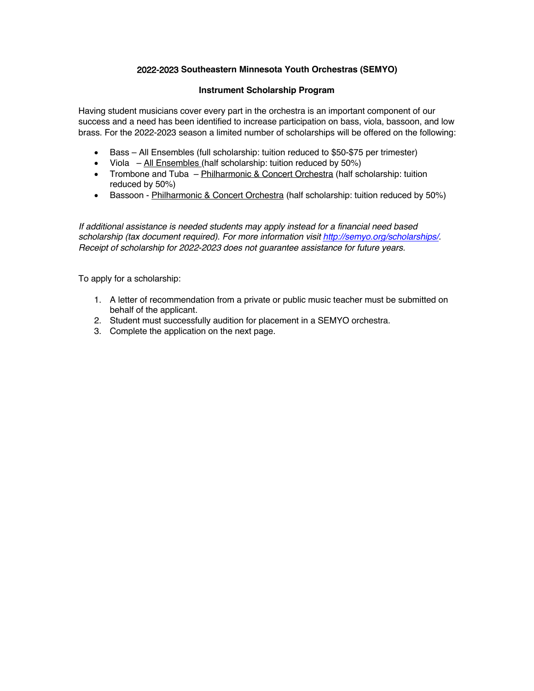## 2022-2023 **Southeastern Minnesota Youth Orchestras (SEMYO)**

## **Instrument Scholarship Program**

Having student musicians cover every part in the orchestra is an important component of our success and a need has been identified to increase participation on bass, viola, bassoon, and low brass. For the 2022-2023 season a limited number of scholarships will be offered on the following:

- Bass All Ensembles (full scholarship: tuition reduced to \$50-\$75 per trimester)
- Viola  $-$  All Ensembles (half scholarship: tuition reduced by 50%)
- Trombone and Tuba Philharmonic & Concert Orchestra (half scholarship: tuition reduced by 50%)
- Bassoon Philharmonic & Concert Orchestra (half scholarship: tuition reduced by 50%)

*If additional assistance is needed students may apply instead for a financial need based scholarship (tax document required). For more information visit http://semyo.org/scholarships/. Receipt of scholarship for 202*2*-202*<sup>3</sup> *does not guarantee assistance for future years.*

To apply for a scholarship:

- 1. A letter of recommendation from a private or public music teacher must be submitted on behalf of the applicant.
- 2. Student must successfully audition for placement in a SEMYO orchestra.
- 3. Complete the application on the next page.